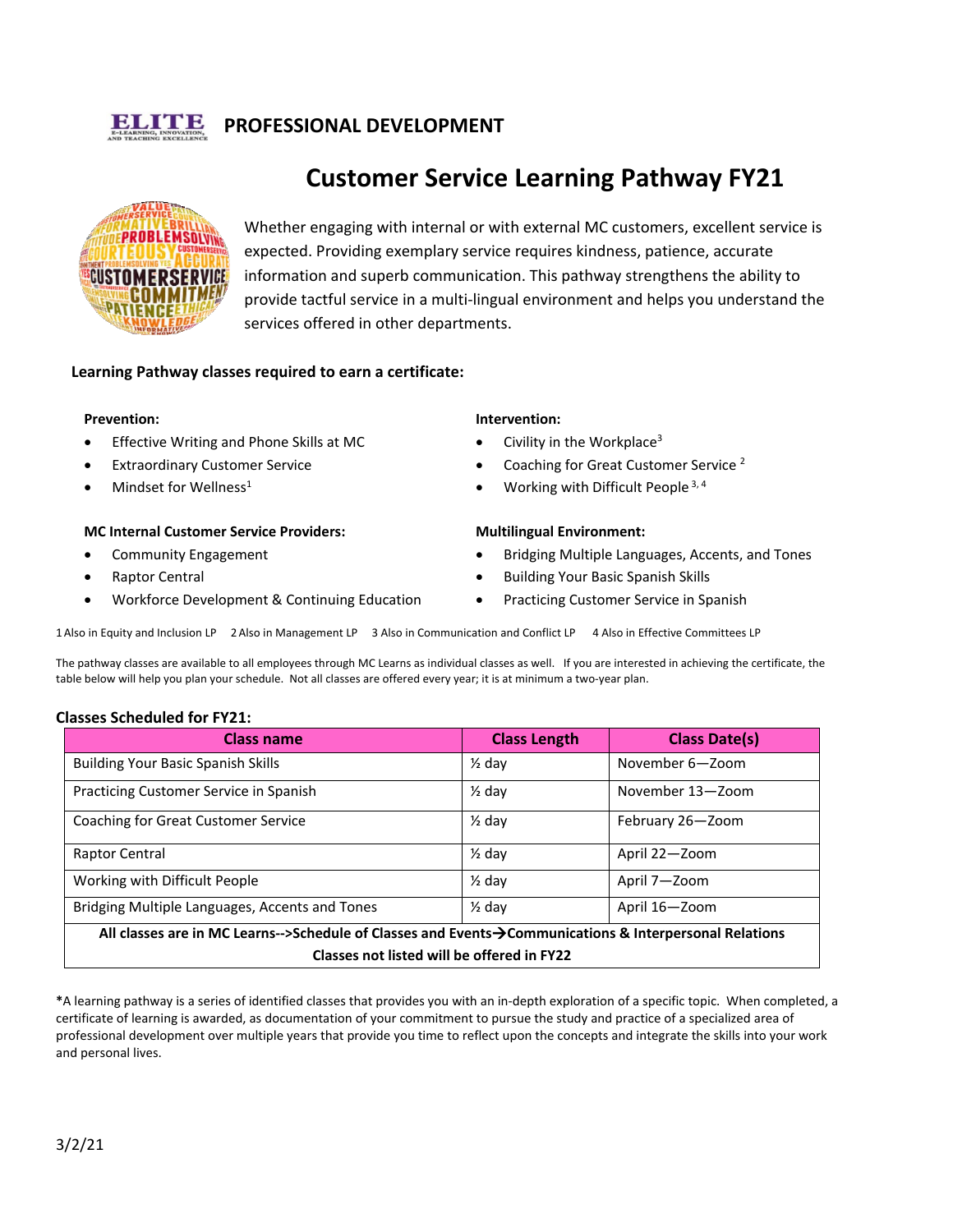

# **PROFESSIONAL DEVELOPMENT**



# **Customer Service Learning Pathway FY21**

Whether engaging with internal or with external MC customers, excellent service is expected. Providing exemplary service requires kindness, patience, accurate information and superb communication. This pathway strengthens the ability to provide tactful service in a multi-lingual environment and helps you understand the services offered in other departments.

## **Learning Pathway classes required to earn a certificate:**

#### **Prevention:**

- Effective Writing and Phone Skills at MC
- **Extraordinary Customer Service**
- Mindset for Wellness $1$

#### **MC Internal Customer Service Providers:**

- Community Engagement
- Raptor Central
- Workforce Development & Continuing Education

#### **Intervention:**

- Civility in the Workplace<sup>3</sup>
- Coaching for Great Customer Service<sup>2</sup>
- Working with Difficult People  $3, 4$

#### **Multilingual Environment:**

- Bridging Multiple Languages, Accents, and Tones
- Building Your Basic Spanish Skills
- Practicing Customer Service in Spanish

1Also in Equity and Inclusion LP 2 Also in Management LP 3 Also in Communication and Conflict LP 4 Also in Effective Committees LP

The pathway classes are available to all employees through MC Learns as individual classes as well. If you are interested in achieving the certificate, the table below will help you plan your schedule. Not all classes are offered every year; it is at minimum a two-year plan.

#### **Classes Scheduled for FY21:**

| <b>Class name</b>                                                                                      | <b>Class Length</b> | <b>Class Date(s)</b> |
|--------------------------------------------------------------------------------------------------------|---------------------|----------------------|
| <b>Building Your Basic Spanish Skills</b>                                                              | $\frac{1}{2}$ day   | November 6-Zoom      |
| Practicing Customer Service in Spanish                                                                 | $\frac{1}{2}$ day   | November 13-Zoom     |
| Coaching for Great Customer Service                                                                    | $\frac{1}{2}$ day   | February 26-Zoom     |
| <b>Raptor Central</b>                                                                                  | $\frac{1}{2}$ day   | April 22-Zoom        |
| Working with Difficult People                                                                          | $\frac{1}{2}$ day   | April 7-Zoom         |
| Bridging Multiple Languages, Accents and Tones                                                         | $\frac{1}{2}$ day   | April 16-Zoom        |
| All classes are in MC Learns-->Schedule of Classes and Events→Communications & Interpersonal Relations |                     |                      |
| Classes not listed will be offered in FY22                                                             |                     |                      |

**\***A learning pathway is a series of identified classes that provides you with an in-depth exploration of a specific topic. When completed, a certificate of learning is awarded, as documentation of your commitment to pursue the study and practice of a specialized area of professional development over multiple years that provide you time to reflect upon the concepts and integrate the skills into your work and personal lives.